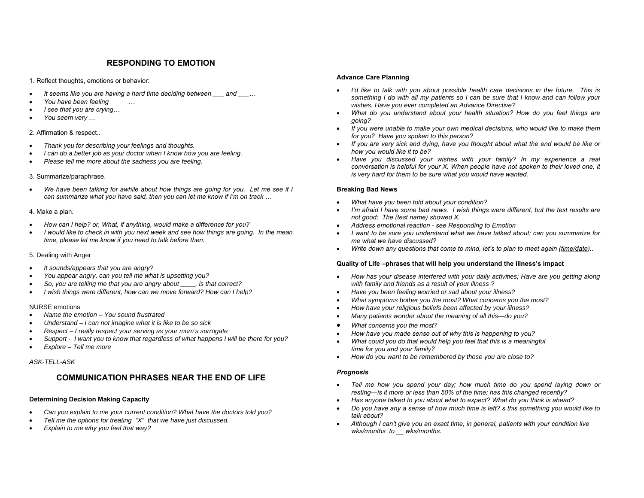## **RESPONDING TO EMOTION**

1. Reflect thoughts, emotions or behavior:

- •*It seems like you are having a hard time deciding between \_\_\_ and \_\_\_…*
- •*You have been feeling \_\_\_\_\_…*
- •*I see that you are crying…*
- •*You seem very …*

### 2. Affirmation & respect..

- •*Thank you for describing your feelings and thoughts.*
- •*I can do a better job as your doctor when I know how you are feeling.*
- •*Please tell me more about the sadness you are feeling.*

### 3. Summarize/paraphrase.

• *We have been talking for awhile about how things are going for you. Let me see if I can summarize what you have said, then you can let me know if I'm on track …* 

### 4. Make a plan.

- •*How can I help? or, What, if anything, would make a difference for you?*
- • *I would like to check in with you next week and see how things are going. In the mean time, please let me know if you need to talk before then.*

### 5. Dealing with Anger

- •*It sounds/appears that you are angry?*
- •*You appear angry, can you tell me what is upsetting you?*
- •*So, you are telling me that you are angry about \_\_\_\_, is that correct?*
- •*I wish things were different, how can we move forward? How can I help?*

### NURSE emotions

- •*Name the emotion – You sound frustrated*
- •*Understand – I can not imagine what it is like to be so sick*
- •*Respect – I really respect your serving as your mom's surrogate*
- •*Support - I want you to know that regardless of what happens I will be there for you?*
- •*Explore – Tell me more*

### *ASK-TELL-ASK*

## **COMMUNICATION PHRASES NEAR THE END OF LIFE**

### **Determining Decision Making Capacity**

- •*Can you explain to me your current condition? What have the doctors told you?*
- •*Tell me the options for treating "X" that we have just discussed.*
- •*Explain to me why you feel that way?*

### **Advance Care Planning**

- •*I'd like to talk with you about possible health care decisions in the future. This is something I do with all my patients so I can be sure that I know and can follow your wishes. Have you ever completed an Advance Directive?*
- • *What do you understand about your health situation? How do you feel things are going?*
- *If you were unable to make your own medical decisions, who would like to make them for you? Have you spoken to this person?*
- • *If you are very sick and dying, have you thought about what the end would be like or how you would like it to be?*
- • *Have you discussed your wishes with your family? In my experience a real conversation is helpful for your X. When people have not spoken to their loved one, it is very hard for them to be sure what you would have wanted.*

### **Breaking Bad News**

- •*What have you been told about your condition?*
- •*I'm afraid I have some bad news. I wish things were different, but the test results are not good; The (test name) showed X.*
- •*Address emotional reaction - see Responding to Emotion*
- • *I want to be sure you understand what we have talked about; can you summarize for me what we have discussed?*
- •*Write down any questions that come to mind, let's to plan to meet again (time/date)..*

### **Quality of Life –phrases that will help you understand the illness's impact**

- • *How has your disease interfered with your daily activities; Have are you getting along with family and friends as a result of your illness ?*
- •*Have you been feeling worried or sad about your illness?*
- •*What symptoms bother you the most? What concerns you the most?*
- •*How have your religious beliefs been affected by your illness?*
- •*Many patients wonder about the meaning of all this—do you?*
- •*What concerns you the most?*
- •*How have you made sense out of why this is happening to you?*
- • *What could you do that would help you feel that this is a meaningful time for you and your family?*
- •*How do you want to be remembered by those you are close to?*

### *Prognosis*

- • *Tell me how you spend your day; how much time do you spend laying down or resting—is it more or less than 50% of the time; has this changed recently?*
- •*Has anyone talked to you about what to expect? What do you think is ahead?*
- • *Do you have any a sense of how much time is left? s this something you would like to talk about?*
- *Although I can't give you an exact time, in general, patients with your condition live \_\_*  •*wks/months to \_\_ wks/months.*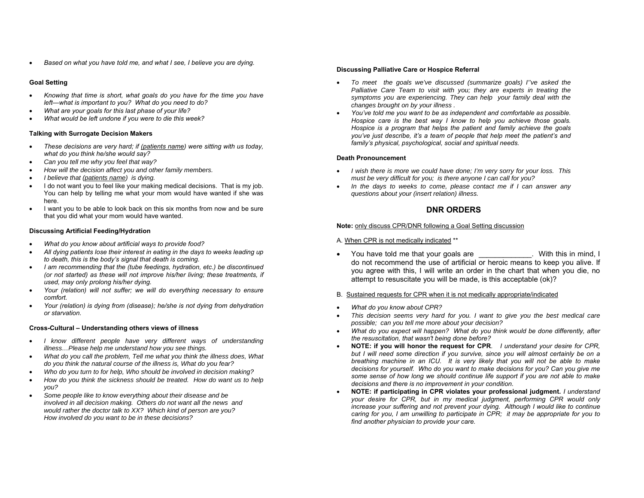•*Based on what you have told me, and what I see, I believe you are dying.* 

### **Goal Setting**

- • *Knowing that time is short, what goals do you have for the time you have left—what is important to you? What do you need to do?*
- •*What are your goals for this last phase of your life?*
- •*What would be left undone if you were to die this week?*

### **Talking with Surrogate Decision Makers**

- • *These decisions are very hard; if (patients name) were sitting with us today, what do you think he/she would say?*
- •*Can you tell me why you feel that way?*
- •*How will the decision affect you and other family members.*
- •*I believe that (patients name) is dying.*
- I do not want you to feel like your making medical decisions. That is my job. You can help by telling me what your mom would have wanted if she was here.
- I want you to be able to look back on this six months from now and be sure that you did what your mom would have wanted.

### **Discussing Artificial Feeding/Hydration**

- •*What do you know about artificial ways to provide food?*
- • *All dying patients lose their interest in eating in the days to weeks leading up to death, this is the body's signal that death is coming.*
- *I am recommending that the (tube feedings, hydration, etc.) be discontinued (or not started) as these will not improve his/her living; these treatments, if used, may only prolong his/her dying.*
- • *Your (relation) will not suffer; we will do everything necessary to ensure comfort.*
- • *Your (relation) is dying from (disease); he/she is not dying from dehydration or starvation.*

### **Cross-Cultural – Understanding others views of illness**

- *I know different people have very different ways of understanding illness…Please help me understand how you see things.*
- • *What do you call the problem, Tell me what you think the illness does, What do you think the natural course of the illness is, What do you fear?*
- •*Who do you turn to for help, Who should be involved in decision making?*
- • *How do you think the sickness should be treated. How do want us to help you?*
- • *Some people like to know everything about their disease and be involved in all decision making. Others do not want all the news and would rather the doctor talk to XX? Which kind of person are you? How involved do you want to be in these decisions?*

### **Discussing Palliative Care or Hospice Referral**

- *To meet the goals we've discussed (summarize goals) I''ve asked the Palliative Care Team to visit with you; they are experts in treating the symptoms you are experiencing. They can help your family deal with the changes brought on by your illness .*
- • *You've told me you want to be as independent and comfortable as possible. Hospice care is the best way I know to help you achieve those goals. Hospice is a program that helps the patient and family achieve the goals you've just describe, it's a team of people that help meet the patient's and family's physical, psychological, social and spiritual needs.*

### **Death Pronouncement**

- *I wish there is more we could have done; I'm very sorry for your loss. This must be very difficult for you; is there anyone I can call for you?*
- • *In the days to weeks to come, please contact me if I can answer any questions about your (insert relation) illness.*

# **DNR ORDERS**

### **Note:** only discuss CPR/DNR following a Goal Setting discussion

### A. When CPR is not medically indicated \*\*

• You have told me that your goals are \_\_\_\_\_\_\_\_\_\_\_\_\_. With this in mind, I do not recommend the use of artificial or heroic means to keep you alive. If you agree with this, I will write an order in the chart that when you die, no attempt to resuscitate you will be made, is this acceptable (ok)?

### B. Sustained requests for CPR when it is not medically appropriate/indicated

- •*What do you know about CPR?*
- • *This decision seems very hard for you. I want to give you the best medical care possible; can you tell me more about your decision?*
- • *What do you expect will happen? What do you think would be done differently, after the resuscitation, that wasn't being done before?*
- • **NOTE: if you will honor the request for CPR***. I understand your desire for CPR, but I will need some direction if you survive, since you will almost certainly be on a breathing machine in an ICU. It is very likely that you will not be able to make decisions for yourself. Who do you want to make decisions for you? Can you give me some sense of how long we should continue life support if you are not able to make decisions and there is no improvement in your condition.*
- • **NOTE: if participating in CPR violates your professional judgment.** *I understand your desire for CPR, but in my medical judgment, performing CPR would only increase your suffering and not prevent your dying. Although I would like to continue caring for you, I am unwilling to participate in CPR; it may be appropriate for you to find another physician to provide your care.*